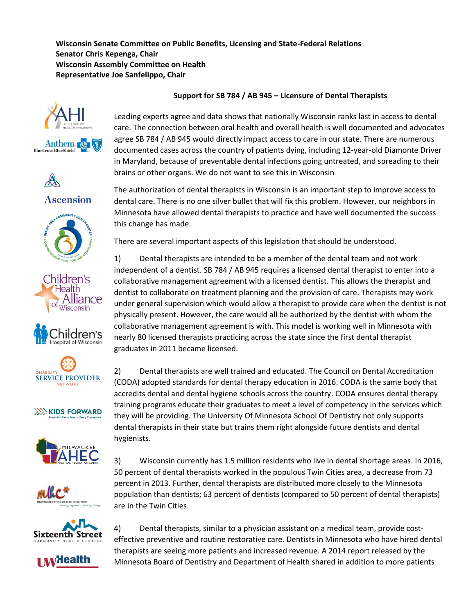**Wisconsin Senate Committee on Public Benefits, Licensing and State-Federal Relations Senator Chris Kepenga, Chair Wisconsin Assembly Committee on Health Representative Joe Sanfelippo, Chair**















**XXXXX KIDS FORWARD** 

hygienists.





3) Wisconsin currently has 1.5 million residents who live in dental shortage areas. In 2016, 50 percent of dental therapists worked in the populous Twin Cities area, a decrease from 73 percent in 2013. Further, dental therapists are distributed more closely to the Minnesota population than dentists; 63 percent of dentists (compared to 50 percent of dental therapists) are in the Twin Cities.



 $\mathbf v$  dealth

4) Dental therapists, similar to a physician assistant on a medical team, provide costeffective preventive and routine restorative care. Dentists in Minnesota who have hired dental therapists are seeing more patients and increased revenue. A 2014 report released by the Minnesota Board of Dentistry and Department of Health shared in addition to more patients

## **Support for SB 784 / AB 945 – Licensure of Dental Therapists**

Leading experts agree and data shows that nationally Wisconsin ranks last in access to dental care. The connection between oral health and overall health is well documented and advocates agree SB 784 / AB 945 would directly impact access to care in our state. There are numerous documented cases across the country of patients dying, including 12-year-old Diamonte Driver in Maryland, because of preventable dental infections going untreated, and spreading to their brains or other organs. We do not want to see this in Wisconsin

The authorization of dental therapists in Wisconsin is an important step to improve access to dental care. There is no one silver bullet that will fix this problem. However, our neighbors in Minnesota have allowed dental therapists to practice and have well documented the success this change has made.

There are several important aspects of this legislation that should be understood.

1) Dental therapists are intended to be a member of the dental team and not work independent of a dentist. SB 784 / AB 945 requires a licensed dental therapist to enter into a collaborative management agreement with a licensed dentist. This allows the therapist and dentist to collaborate on treatment planning and the provision of care. Therapists may work under general supervision which would allow a therapist to provide care when the dentist is not physically present. However, the care would all be authorized by the dentist with whom the collaborative management agreement is with. This model is working well in Minnesota with nearly 80 licensed therapists practicing across the state since the first dental therapist graduates in 2011 became licensed.

2) Dental therapists are well trained and educated. The Council on Dental Accreditation (CODA) adopted standards for dental therapy education in 2016. CODA is the same body that accredits dental and dental hygiene schools across the country. CODA ensures dental therapy training programs educate their graduates to meet a level of competency in the services which they will be providing. The University Of Minnesota School Of Dentistry not only supports dental therapists in their state but trains them right alongside future dentists and dental